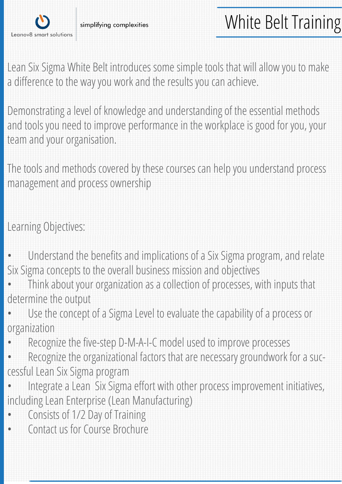

Lean Six Sigma White Belt introduces some simple tools that will allow you to make a difference to the way you work and the results you can achieve.

Demonstrating a level of knowledge and understanding of the essential methods and tools you need to improve performance in the workplace is good for you, your team and your organisation.

The tools and methods covered by these courses can help you understand process management and process ownership

Learning Objectives:

- Understand the benefits and implications of a Six Sigma program, and relate Six Sigma concepts to the overall business mission and objectives
- Think about your organization as a collection of processes, with inputs that determine the output
- Use the concept of a Sigma Level to evaluate the capability of a process or organization
- Recognize the five-step D-M-A-I-C model used to improve processes
- Recognize the organizational factors that are necessary groundwork for a successful Lean Six Sigma program
- Integrate a Lean Six Sigma effort with other process improvement initiatives, including Lean Enterprise (Lean Manufacturing)
- Consists of 1/2 Day of Training
- Contact us for Course Brochure